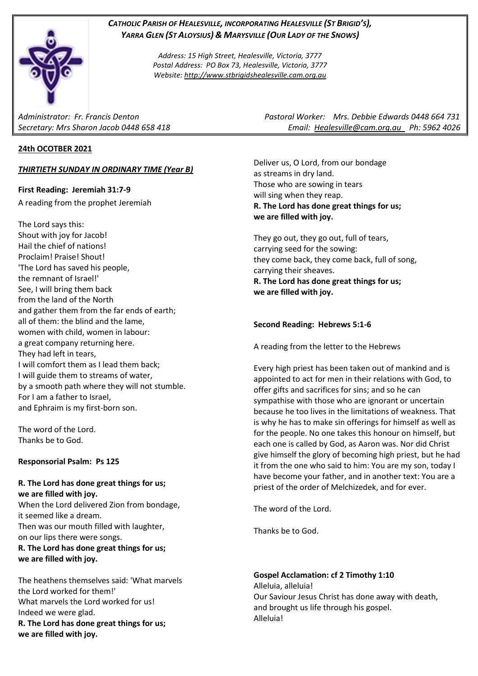# *CATHOLIC PARISH OF HEALESVILLE, INCORPORATING HEALESVILLE (ST BRIGID'S), YARRA GLEN (ST ALOYSIUS) & MARYSVILLE (OUR LADY OF THE SNOWS)*

*Address: 15 High Street, Healesville, Victoria, 3777 Postal Address: PO Box 73, Healesville, Victoria, 3777 Website: [http://www.stbrigidshealesville.cam.org.au](http://www.stbrigidshealesville.cam.org.au/)*

# **24th OCOTBER 2021**

# *THIRTIETH SUNDAY IN ORDINARY TIME (Year B)*

## **First Reading: Jeremiah 31:7-9**

A reading from the prophet Jeremiah

The Lord says this: Shout with joy for Jacob! Hail the chief of nations! Proclaim! Praise! Shout! 'The Lord has saved his people, the remnant of Israel!' See, I will bring them back from the land of the North and gather them from the far ends of earth; all of them: the blind and the lame, women with child, women in labour: a great company returning here. They had left in tears, I will comfort them as I lead them back; I will guide them to streams of water, by a smooth path where they will not stumble. For I am a father to Israel, and Ephraim is my first-born son.

The word of the Lord. Thanks be to God.

# **Responsorial Psalm: Ps 125**

## **R. The Lord has done great things for us; we are filled with joy.**

When the Lord delivered Zion from bondage, it seemed like a dream. Then was our mouth filled with laughter, on our lips there were songs. **R. The Lord has done great things for us; we are filled with joy.**

The heathens themselves said: 'What marvels the Lord worked for them!' What marvels the Lord worked for us! Indeed we were glad. **R. The Lord has done great things for us; we are filled with joy.**

*Administrator: Fr. Francis Denton Pastoral Worker: Mrs. Debbie Edwards 0448 664 731 Secretary: Mrs Sharon Jacob 0448 658 418 Email: [Healesville@cam.org.au](mailto:Healesville@cam.org.au) Ph: 5962 4026* 

> Deliver us, O Lord, from our bondage as streams in dry land. Those who are sowing in tears will sing when they reap. **R. The Lord has done great things for us; we are filled with joy.**

They go out, they go out, full of tears, carrying seed for the sowing: they come back, they come back, full of song, carrying their sheaves. **R. The Lord has done great things for us;**

**we are filled with joy.**

### **Second Reading: Hebrews 5:1-6**

A reading from the letter to the Hebrews

Every high priest has been taken out of mankind and is appointed to act for men in their relations with God, to offer gifts and sacrifices for sins; and so he can sympathise with those who are ignorant or uncertain because he too lives in the limitations of weakness. That is why he has to make sin offerings for himself as well as for the people. No one takes this honour on himself, but each one is called by God, as Aaron was. Nor did Christ give himself the glory of becoming high priest, but he had it from the one who said to him: You are my son, today I have become your father, and in another text: You are a priest of the order of Melchizedek, and for ever.

The word of the Lord.

Thanks be to God.

**Gospel Acclamation: cf 2 Timothy 1:10** Alleluia, alleluia! Our Saviour Jesus Christ has done away with death, and brought us life through his gospel. Alleluia!

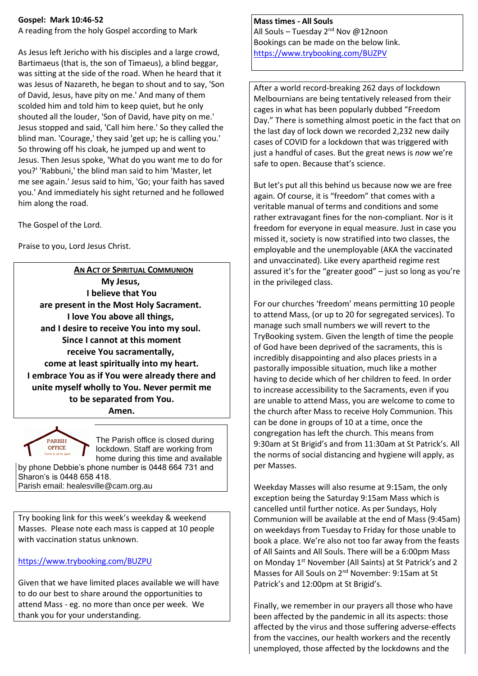## **Gospel: Mark 10:46-52**

A reading from the holy Gospel according to Mark

As Jesus left Jericho with his disciples and a large crowd, Bartimaeus (that is, the son of Timaeus), a blind beggar, was sitting at the side of the road. When he heard that it was Jesus of Nazareth, he began to shout and to say, 'Son of David, Jesus, have pity on me.' And many of them scolded him and told him to keep quiet, but he only shouted all the louder, 'Son of David, have pity on me.' Jesus stopped and said, 'Call him here.' So they called the blind man. 'Courage,' they said 'get up; he is calling you.' So throwing off his cloak, he jumped up and went to Jesus. Then Jesus spoke, 'What do you want me to do for you?' 'Rabbuni,' the blind man said to him 'Master, let me see again.' Jesus said to him, 'Go; your faith has saved you.' And immediately his sight returned and he followed him along the road.

The Gospel of the Lord.

Praise to you, Lord Jesus Christ.

**AN ACT OF SPIRITUAL COMMUNION My Jesus, I believe that You are present in the Most Holy Sacrament. I love You above all things, and I desire to receive You into my soul. Since I cannot at this moment receive You sacramentally, come at least spiritually into my heart. I embrace You as if You were already there and unite myself wholly to You. Never permit me to be separated from You.**

**Amen.**



The Parish office is closed during lockdown. Staff are working from home during this time and available by phone Debbie's phone number is 0448 664 731 and

Sharon's is 0448 658 418. Parish email: healesville@cam.org.au

Try booking link for this week's weekday & weekend Masses. Please note each mass is capped at 10 people with vaccination status unknown.

<https://www.trybooking.com/BUZPU>

Given that we have limited places available we will have to do our best to share around the opportunities to attend Mass - eg. no more than once per week. We thank you for your understanding.

# **Mass times - All Souls**

All Souls – Tuesday 2<sup>nd</sup> Nov @12noon Bookings can be made on the below link. <https://www.trybooking.com/BUZPV>

After a world record-breaking 262 days of lockdown Melbournians are being tentatively released from their cages in what has been popularly dubbed "Freedom Day." There is something almost poetic in the fact that on the last day of lock down we recorded 2,232 new daily cases of COVID for a lockdown that was triggered with just a handful of cases. But the great news is *now* we're safe to open. Because that's science.

But let's put all this behind us because now we are free again. Of course, it is "freedom" that comes with a veritable manual of terms and conditions and some rather extravagant fines for the non-compliant. Nor is it freedom for everyone in equal measure. Just in case you missed it, society is now stratified into two classes, the employable and the unemployable (AKA the vaccinated and unvaccinated). Like every apartheid regime rest assured it's for the "greater good" – just so long as you're in the privileged class.

For our churches 'freedom' means permitting 10 people to attend Mass, (or up to 20 for segregated services). To manage such small numbers we will revert to the TryBooking system. Given the length of time the people of God have been deprived of the sacraments, this is incredibly disappointing and also places priests in a pastorally impossible situation, much like a mother having to decide which of her children to feed. In order to increase accessibility to the Sacraments, even if you are unable to attend Mass, you are welcome to come to the church after Mass to receive Holy Communion. This can be done in groups of 10 at a time, once the congregation has left the church. This means from 9:30am at St Brigid's and from 11:30am at St Patrick's. All the norms of social distancing and hygiene will apply, as per Masses.

Weekday Masses will also resume at 9:15am, the only exception being the Saturday 9:15am Mass which is cancelled until further notice. As per Sundays, Holy Communion will be available at the end of Mass (9:45am) on weekdays from Tuesday to Friday for those unable to book a place. We're also not too far away from the feasts of All Saints and All Souls. There will be a 6:00pm Mass on Monday 1<sup>st</sup> November (All Saints) at St Patrick's and 2 Masses for All Souls on 2nd November: 9:15am at St Patrick's and 12:00pm at St Brigid's.

Finally, we remember in our prayers all those who have been affected by the pandemic in all its aspects: those affected by the virus and those suffering adverse-effects from the vaccines, our health workers and the recently unemployed, those affected by the lockdowns and the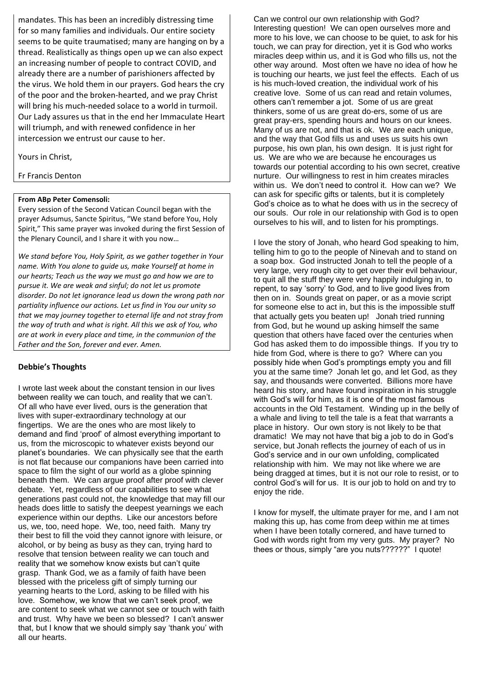mandates. This has been an incredibly distressing time for so many families and individuals. Our entire society seems to be quite traumatised; many are hanging on by a thread. Realistically as things open up we can also expect an increasing number of people to contract COVID, and already there are a number of parishioners affected by the virus. We hold them in our prayers. God hears the cry of the poor and the broken-hearted, and we pray Christ will bring his much-needed solace to a world in turmoil. Our Lady assures us that in the end her Immaculate Heart will triumph, and with renewed confidence in her intercession we entrust our cause to her.

Yours in Christ,

Fr Francis Denton

#### **From ABp Peter Comensoli:**

Every session of the Second Vatican Council began with the prayer Adsumus, Sancte Spiritus, "We stand before You, Holy Spirit," This same prayer was invoked during the first Session of the Plenary Council, and I share it with you now…

*We stand before You, Holy Spirit, as we gather together in Your name. With You alone to guide us, make Yourself at home in our hearts; Teach us the way we must go and how we are to pursue it. We are weak and sinful; do not let us promote disorder. Do not let ignorance lead us down the wrong path nor partiality influence our actions. Let us find in You our unity so that we may journey together to eternal life and not stray from the way of truth and what is right. All this we ask of You, who are at work in every place and time, in the communion of the Father and the Son, forever and ever. Amen.*

### **Debbie's Thoughts**

I wrote last week about the constant tension in our lives between reality we can touch, and reality that we can't. Of all who have ever lived, ours is the generation that lives with super-extraordinary technology at our fingertips. We are the ones who are most likely to demand and find 'proof' of almost everything important to us, from the microscopic to whatever exists beyond our planet's boundaries. We can physically see that the earth is not flat because our companions have been carried into space to film the sight of our world as a globe spinning beneath them. We can argue proof after proof with clever debate. Yet, regardless of our capabilities to see what generations past could not, the knowledge that may fill our heads does little to satisfy the deepest yearnings we each experience within our depths. Like our ancestors before us, we, too, need hope. We, too, need faith. Many try their best to fill the void they cannot ignore with leisure, or alcohol, or by being as busy as they can, trying hard to resolve that tension between reality we can touch and reality that we somehow know exists but can't quite grasp. Thank God, we as a family of faith have been blessed with the priceless gift of simply turning our yearning hearts to the Lord, asking to be filled with his love. Somehow, we know that we can't seek proof, we are content to seek what we cannot see or touch with faith and trust. Why have we been so blessed? I can't answer that, but I know that we should simply say 'thank you' with all our hearts.

Can we control our own relationship with God? Interesting question! We can open ourselves more and more to his love, we can choose to be quiet, to ask for his touch, we can pray for direction, yet it is God who works miracles deep within us, and it is God who fills us, not the other way around. Most often we have no idea of how he is touching our hearts, we just feel the effects. Each of us is his much-loved creation, the individual work of his creative love. Some of us can read and retain volumes, others can't remember a jot. Some of us are great thinkers, some of us are great do-ers, some of us are great pray-ers, spending hours and hours on our knees. Many of us are not, and that is ok. We are each unique, and the way that God fills us and uses us suits his own purpose, his own plan, his own design. It is just right for us. We are who we are because he encourages us towards our potential according to his own secret, creative nurture. Our willingness to rest in him creates miracles within us. We don't need to control it. How can we? We can ask for specific gifts or talents, but it is completely God's choice as to what he does with us in the secrecy of our souls. Our role in our relationship with God is to open ourselves to his will, and to listen for his promptings.

I love the story of Jonah, who heard God speaking to him, telling him to go to the people of Ninevah and to stand on a soap box. God instructed Jonah to tell the people of a very large, very rough city to get over their evil behaviour, to quit all the stuff they were very happily indulging in, to repent, to say 'sorry' to God, and to live good lives from then on in. Sounds great on paper, or as a movie script for someone else to act in, but this is the impossible stuff that actually gets you beaten up! Jonah tried running from God, but he wound up asking himself the same question that others have faced over the centuries when God has asked them to do impossible things. If you try to hide from God, where is there to go? Where can you possibly hide when God's promptings empty you and fill you at the same time? Jonah let go, and let God, as they say, and thousands were converted. Billions more have heard his story, and have found inspiration in his struggle with God's will for him, as it is one of the most famous accounts in the Old Testament. Winding up in the belly of a whale and living to tell the tale is a feat that warrants a place in history. Our own story is not likely to be that dramatic! We may not have that big a job to do in God's service, but Jonah reflects the journey of each of us in God's service and in our own unfolding, complicated relationship with him. We may not like where we are being dragged at times, but it is not our role to resist, or to control God's will for us. It is our job to hold on and try to enjoy the ride.

I know for myself, the ultimate prayer for me, and I am not making this up, has come from deep within me at times when I have been totally cornered, and have turned to God with words right from my very guts. My prayer? No thees or thous, simply "are you nuts??????" I quote!